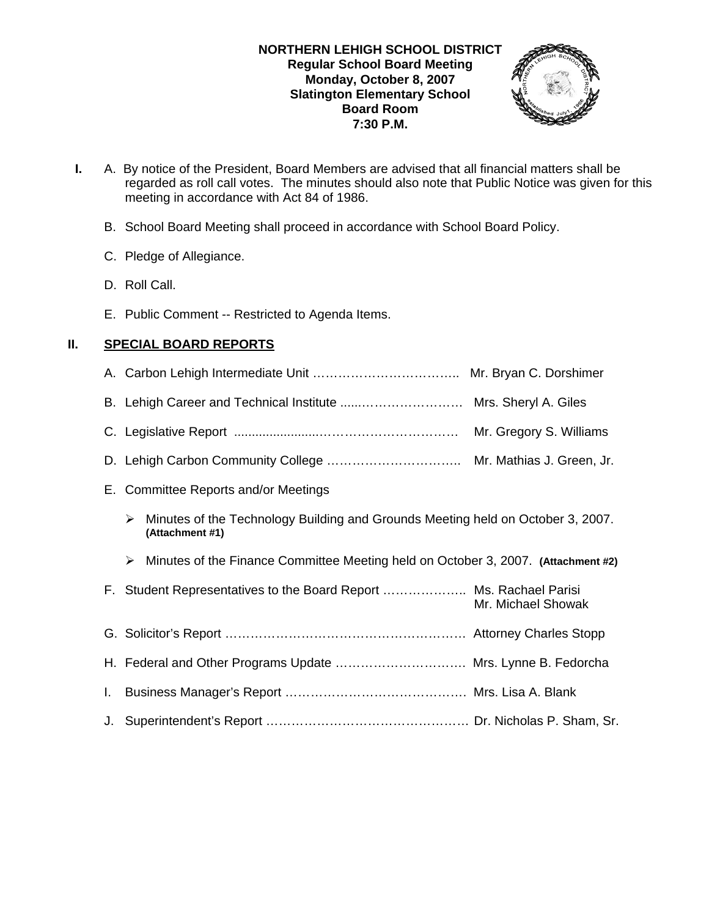

- **I.** A. By notice of the President, Board Members are advised that all financial matters shall be regarded as roll call votes. The minutes should also note that Public Notice was given for this meeting in accordance with Act 84 of 1986.
	- B. School Board Meeting shall proceed in accordance with School Board Policy.
	- C. Pledge of Allegiance.
	- D. Roll Call.
	- E. Public Comment -- Restricted to Agenda Items.

### **II. SPECIAL BOARD REPORTS**

|    | Mr. Gregory S. Williams                                                                                 |
|----|---------------------------------------------------------------------------------------------------------|
|    |                                                                                                         |
|    | E. Committee Reports and/or Meetings                                                                    |
|    | Minutes of the Technology Building and Grounds Meeting held on October 3, 2007.<br>➤<br>(Attachment #1) |
|    |                                                                                                         |
|    | Minutes of the Finance Committee Meeting held on October 3, 2007. (Attachment #2)<br>➤                  |
|    | F. Student Representatives to the Board Report  Ms. Rachael Parisi<br>Mr. Michael Showak                |
|    |                                                                                                         |
|    | H. Federal and Other Programs Update  Mrs. Lynne B. Fedorcha                                            |
| L. |                                                                                                         |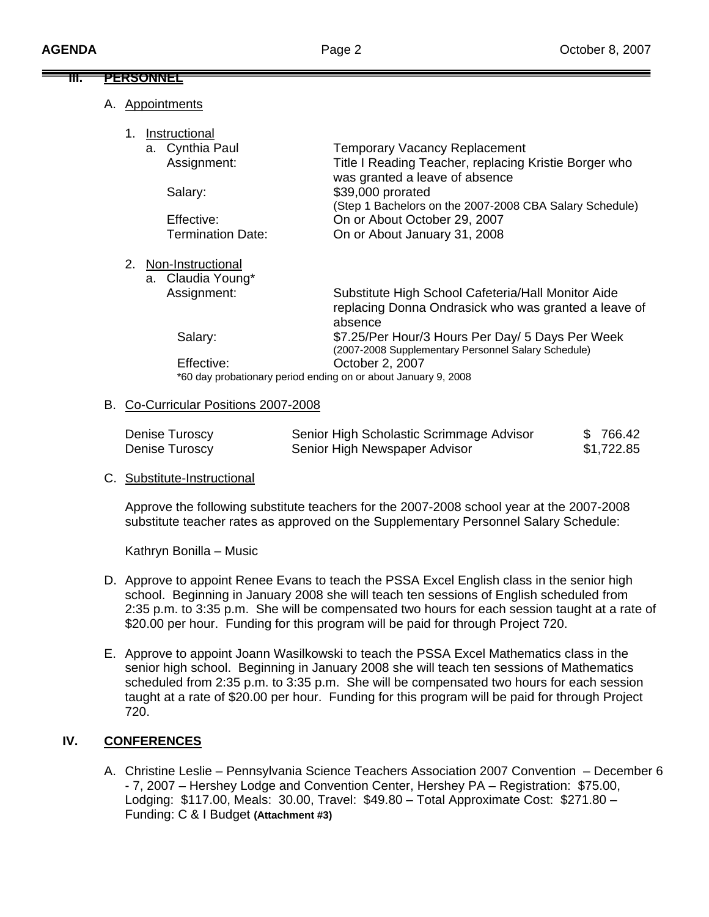|                                                                | <u>PERSONNEL</u> |                                      |                                                         |
|----------------------------------------------------------------|------------------|--------------------------------------|---------------------------------------------------------|
|                                                                |                  |                                      |                                                         |
|                                                                | А.               | <b>Appointments</b>                  |                                                         |
|                                                                |                  |                                      |                                                         |
|                                                                | 1.               | Instructional                        |                                                         |
|                                                                |                  | a. Cynthia Paul                      | <b>Temporary Vacancy Replacement</b>                    |
|                                                                |                  | Assignment:                          | Title I Reading Teacher, replacing Kristie Borger who   |
|                                                                |                  |                                      | was granted a leave of absence                          |
|                                                                |                  | Salary:                              | \$39,000 prorated                                       |
|                                                                |                  |                                      | (Step 1 Bachelors on the 2007-2008 CBA Salary Schedule) |
|                                                                |                  | Effective:                           | On or About October 29, 2007                            |
|                                                                |                  | <b>Termination Date:</b>             | On or About January 31, 2008                            |
|                                                                | 2.               | Non-Instructional                    |                                                         |
|                                                                |                  | a. Claudia Young*                    |                                                         |
|                                                                |                  | Assignment:                          | Substitute High School Cafeteria/Hall Monitor Aide      |
|                                                                |                  |                                      | replacing Donna Ondrasick who was granted a leave of    |
|                                                                |                  |                                      | absence                                                 |
|                                                                |                  | Salary:                              | \$7.25/Per Hour/3 Hours Per Day/ 5 Days Per Week        |
|                                                                |                  |                                      | (2007-2008 Supplementary Personnel Salary Schedule)     |
|                                                                |                  | Effective:                           | October 2, 2007                                         |
| *60 day probationary period ending on or about January 9, 2008 |                  |                                      |                                                         |
|                                                                |                  |                                      |                                                         |
|                                                                |                  | B. Co-Curricular Positions 2007-2008 |                                                         |

| Denise Turoscy | Senior High Scholastic Scrimmage Advisor | \$766.42   |
|----------------|------------------------------------------|------------|
| Denise Turoscy | Senior High Newspaper Advisor            | \$1,722.85 |

## C. Substitute-Instructional

Approve the following substitute teachers for the 2007-2008 school year at the 2007-2008 substitute teacher rates as approved on the Supplementary Personnel Salary Schedule:

Kathryn Bonilla – Music

- D. Approve to appoint Renee Evans to teach the PSSA Excel English class in the senior high school. Beginning in January 2008 she will teach ten sessions of English scheduled from 2:35 p.m. to 3:35 p.m. She will be compensated two hours for each session taught at a rate of \$20.00 per hour. Funding for this program will be paid for through Project 720.
- E. Approve to appoint Joann Wasilkowski to teach the PSSA Excel Mathematics class in the senior high school. Beginning in January 2008 she will teach ten sessions of Mathematics scheduled from 2:35 p.m. to 3:35 p.m. She will be compensated two hours for each session taught at a rate of \$20.00 per hour. Funding for this program will be paid for through Project 720.

# **IV. CONFERENCES**

A. Christine Leslie – Pennsylvania Science Teachers Association 2007 Convention – December 6 - 7, 2007 – Hershey Lodge and Convention Center, Hershey PA – Registration: \$75.00, Lodging: \$117.00, Meals: 30.00, Travel: \$49.80 – Total Approximate Cost: \$271.80 – Funding: C & I Budget **(Attachment #3)**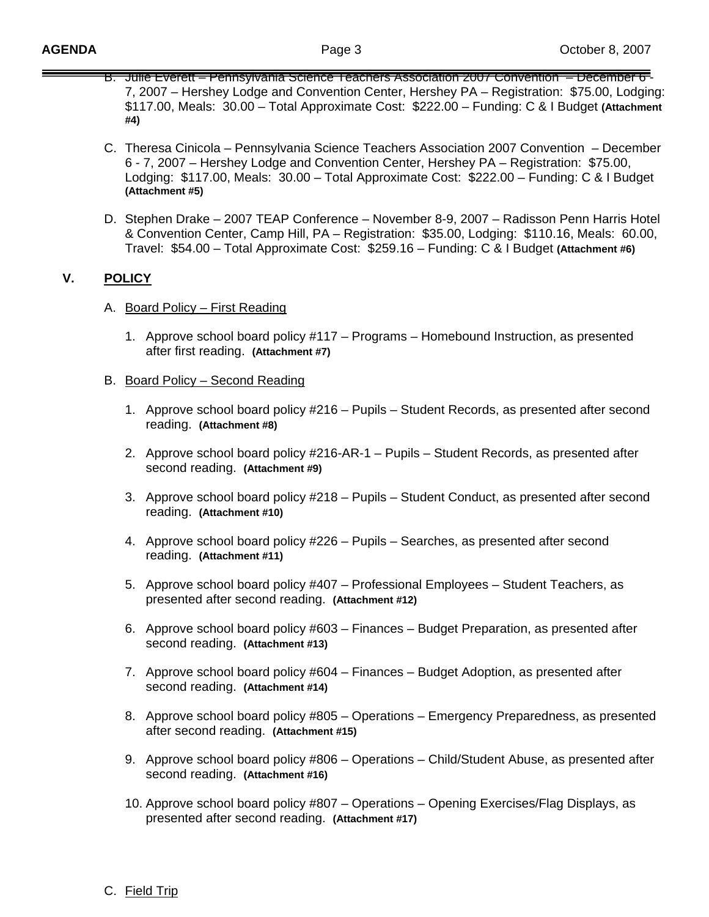- B. Julie Everett Pennsylvania Science Teachers Association 2007 Convention December 6 7, 2007 – Hershey Lodge and Convention Center, Hershey PA – Registration: \$75.00, Lodging: \$117.00, Meals: 30.00 – Total Approximate Cost: \$222.00 – Funding: C & I Budget **(Attachment #4)**
- C. Theresa Cinicola Pennsylvania Science Teachers Association 2007 Convention December 6 - 7, 2007 – Hershey Lodge and Convention Center, Hershey PA – Registration: \$75.00, Lodging: \$117.00, Meals: 30.00 – Total Approximate Cost: \$222.00 – Funding: C & I Budget **(Attachment #5)**
- D. Stephen Drake 2007 TEAP Conference November 8-9, 2007 Radisson Penn Harris Hotel & Convention Center, Camp Hill, PA – Registration: \$35.00, Lodging: \$110.16, Meals: 60.00, Travel: \$54.00 – Total Approximate Cost: \$259.16 – Funding: C & I Budget **(Attachment #6)**

### **V. POLICY**

- A. Board Policy First Reading
	- 1. Approve school board policy #117 Programs Homebound Instruction, as presented after first reading. **(Attachment #7)**
- B. Board Policy Second Reading
	- 1. Approve school board policy #216 Pupils Student Records, as presented after second reading. **(Attachment #8)**
	- 2. Approve school board policy #216-AR-1 Pupils Student Records, as presented after second reading. **(Attachment #9)**
	- 3. Approve school board policy #218 Pupils Student Conduct, as presented after second reading. **(Attachment #10)**
	- 4. Approve school board policy #226 Pupils Searches, as presented after second reading. **(Attachment #11)**
	- 5. Approve school board policy #407 Professional Employees Student Teachers, as presented after second reading. **(Attachment #12)**
	- 6. Approve school board policy #603 Finances Budget Preparation, as presented after second reading. **(Attachment #13)**
	- 7. Approve school board policy #604 Finances Budget Adoption, as presented after second reading. **(Attachment #14)**
	- 8. Approve school board policy #805 Operations Emergency Preparedness, as presented after second reading. **(Attachment #15)**
	- 9. Approve school board policy #806 Operations Child/Student Abuse, as presented after second reading. **(Attachment #16)**
	- 10. Approve school board policy #807 Operations Opening Exercises/Flag Displays, as presented after second reading. **(Attachment #17)**

#### C. Field Trip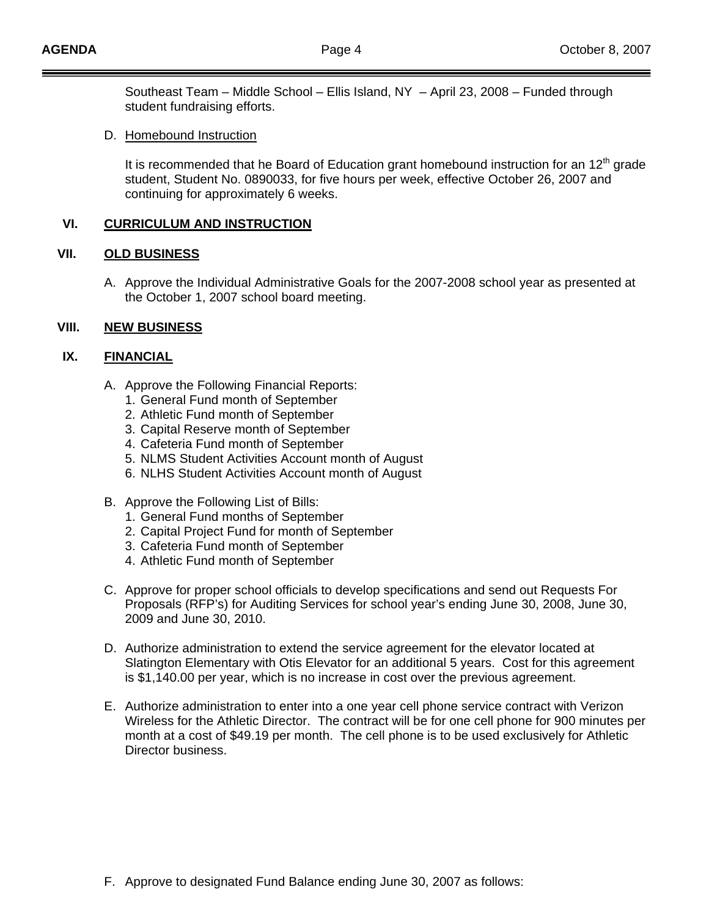Southeast Team – Middle School – Ellis Island, NY – April 23, 2008 – Funded through student fundraising efforts.

D. Homebound Instruction

It is recommended that he Board of Education grant homebound instruction for an  $12<sup>th</sup>$  grade student, Student No. 0890033, for five hours per week, effective October 26, 2007 and continuing for approximately 6 weeks.

#### **VI. CURRICULUM AND INSTRUCTION**

#### **VII. OLD BUSINESS**

A. Approve the Individual Administrative Goals for the 2007-2008 school year as presented at the October 1, 2007 school board meeting.

#### **VIII. NEW BUSINESS**

#### **IX. FINANCIAL**

- A. Approve the Following Financial Reports:
	- 1. General Fund month of September
	- 2. Athletic Fund month of September
	- 3. Capital Reserve month of September
	- 4. Cafeteria Fund month of September
	- 5. NLMS Student Activities Account month of August
	- 6. NLHS Student Activities Account month of August
- B. Approve the Following List of Bills:
	- 1. General Fund months of September
	- 2. Capital Project Fund for month of September
	- 3. Cafeteria Fund month of September
	- 4. Athletic Fund month of September
- C. Approve for proper school officials to develop specifications and send out Requests For Proposals (RFP's) for Auditing Services for school year's ending June 30, 2008, June 30, 2009 and June 30, 2010.
- D. Authorize administration to extend the service agreement for the elevator located at Slatington Elementary with Otis Elevator for an additional 5 years. Cost for this agreement is \$1,140.00 per year, which is no increase in cost over the previous agreement.
- E. Authorize administration to enter into a one year cell phone service contract with Verizon Wireless for the Athletic Director. The contract will be for one cell phone for 900 minutes per month at a cost of \$49.19 per month. The cell phone is to be used exclusively for Athletic Director business.